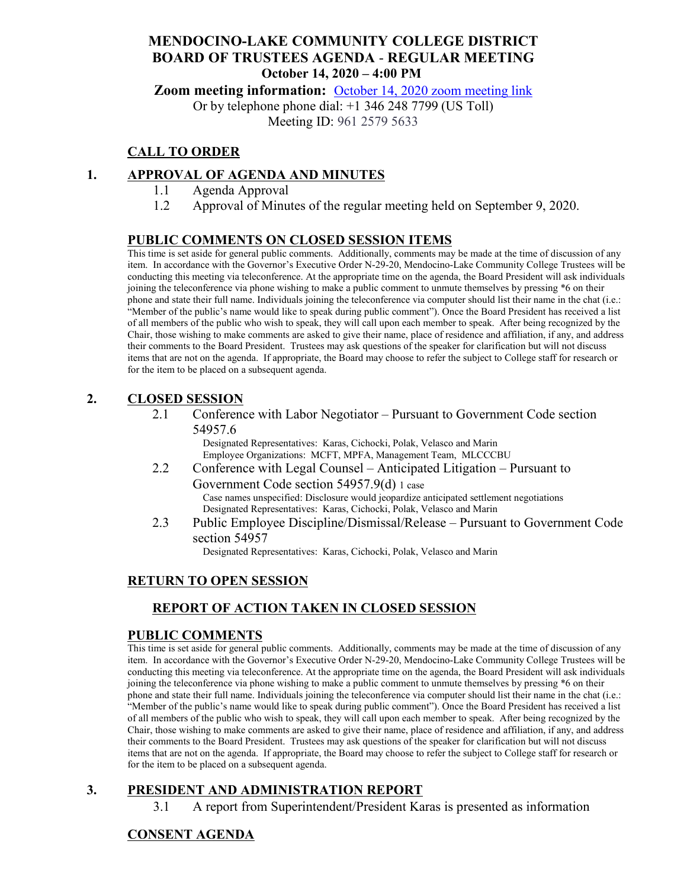## **MENDOCINO-LAKE COMMUNITY COLLEGE DISTRICT BOARD OF TRUSTEES AGENDA** - **REGULAR MEETING October 14, 2020 – 4:00 PM**

**Zoom meeting information:** [October 14, 2020 zoom meeting link](https://cccconfer.zoom.us/s/96125795633)

Or by telephone phone dial: +1 346 248 7799 (US Toll)

Meeting ID: 961 2579 5633

## **CALL TO ORDER**

#### **1. APPROVAL OF AGENDA AND MINUTES**

- 1.1 Agenda Approval
- 1.2 Approval of Minutes of the regular meeting held on September 9, 2020.

#### **PUBLIC COMMENTS ON CLOSED SESSION ITEMS**

This time is set aside for general public comments. Additionally, comments may be made at the time of discussion of any item. In accordance with the Governor's Executive Order N-29-20, Mendocino-Lake Community College Trustees will be conducting this meeting via teleconference. At the appropriate time on the agenda, the Board President will ask individuals joining the teleconference via phone wishing to make a public comment to unmute themselves by pressing \*6 on their phone and state their full name. Individuals joining the teleconference via computer should list their name in the chat (i.e.: "Member of the public's name would like to speak during public comment"). Once the Board President has received a list of all members of the public who wish to speak, they will call upon each member to speak. After being recognized by the Chair, those wishing to make comments are asked to give their name, place of residence and affiliation, if any, and address their comments to the Board President. Trustees may ask questions of the speaker for clarification but will not discuss items that are not on the agenda. If appropriate, the Board may choose to refer the subject to College staff for research or for the item to be placed on a subsequent agenda.

#### **2. CLOSED SESSION**

2.1 Conference with Labor Negotiator – Pursuant to Government Code section 54957.6

Designated Representatives: Karas, Cichocki, Polak, Velasco and Marin Employee Organizations: MCFT, MPFA, Management Team, MLCCCBU

- 2.2 Conference with Legal Counsel Anticipated Litigation Pursuant to Government Code section 54957.9(d) 1 case Case names unspecified: Disclosure would jeopardize anticipated settlement negotiations Designated Representatives: Karas, Cichocki, Polak, Velasco and Marin
- 2.3 Public Employee Discipline/Dismissal/Release Pursuant to Government Code section 54957

Designated Representatives: Karas, Cichocki, Polak, Velasco and Marin

### **RETURN TO OPEN SESSION**

### **REPORT OF ACTION TAKEN IN CLOSED SESSION**

#### **PUBLIC COMMENTS**

This time is set aside for general public comments. Additionally, comments may be made at the time of discussion of any item. In accordance with the Governor's Executive Order N-29-20, Mendocino-Lake Community College Trustees will be conducting this meeting via teleconference. At the appropriate time on the agenda, the Board President will ask individuals joining the teleconference via phone wishing to make a public comment to unmute themselves by pressing \*6 on their phone and state their full name. Individuals joining the teleconference via computer should list their name in the chat (i.e.: "Member of the public's name would like to speak during public comment"). Once the Board President has received a list of all members of the public who wish to speak, they will call upon each member to speak. After being recognized by the Chair, those wishing to make comments are asked to give their name, place of residence and affiliation, if any, and address their comments to the Board President. Trustees may ask questions of the speaker for clarification but will not discuss items that are not on the agenda. If appropriate, the Board may choose to refer the subject to College staff for research or for the item to be placed on a subsequent agenda.

## **3. PRESIDENT AND ADMINISTRATION REPORT**

3.1 A report from Superintendent/President Karas is presented as information

### **CONSENT AGENDA**